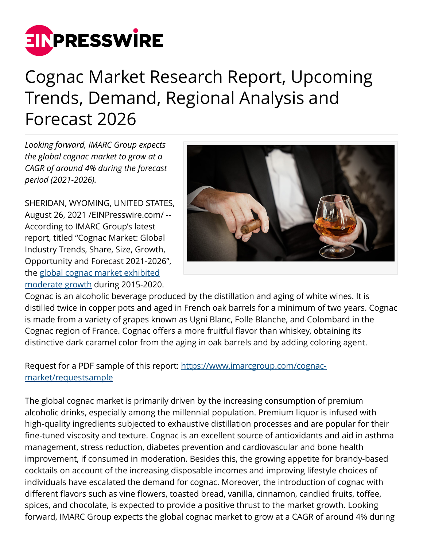

## Cognac Market Research Report, Upcoming Trends, Demand, Regional Analysis and Forecast 2026

*Looking forward, IMARC Group expects the global cognac market to grow at a CAGR of around 4% during the forecast period (2021-2026).*

SHERIDAN, WYOMING, UNITED STATES, August 26, 2021 /[EINPresswire.com/](http://www.einpresswire.com) -- According to IMARC Group's latest report, titled "Cognac Market: Global Industry Trends, Share, Size, Growth, Opportunity and Forecast 2021-2026", the [global cognac market exhibited](https://www.imarcgroup.com/cognac-market) [moderate growth](https://www.imarcgroup.com/cognac-market) during 2015-2020.



Cognac is an alcoholic beverage produced by the distillation and aging of white wines. It is distilled twice in copper pots and aged in French oak barrels for a minimum of two years. Cognac is made from a variety of grapes known as Ugni Blanc, Folle Blanche, and Colombard in the Cognac region of France. Cognac offers a more fruitful flavor than whiskey, obtaining its distinctive dark caramel color from the aging in oak barrels and by adding coloring agent.

## Request for a PDF sample of this report: [https://www.imarcgroup.com/cognac](https://www.imarcgroup.com/cognac-market/requestsample)[market/requestsample](https://www.imarcgroup.com/cognac-market/requestsample)

The global cognac market is primarily driven by the increasing consumption of premium alcoholic drinks, especially among the millennial population. Premium liquor is infused with high-quality ingredients subjected to exhaustive distillation processes and are popular for their fine-tuned viscosity and texture. Cognac is an excellent source of antioxidants and aid in asthma management, stress reduction, diabetes prevention and cardiovascular and bone health improvement, if consumed in moderation. Besides this, the growing appetite for brandy-based cocktails on account of the increasing disposable incomes and improving lifestyle choices of individuals have escalated the demand for cognac. Moreover, the introduction of cognac with different flavors such as vine flowers, toasted bread, vanilla, cinnamon, candied fruits, toffee, spices, and chocolate, is expected to provide a positive thrust to the market growth. Looking forward, IMARC Group expects the global cognac market to grow at a CAGR of around 4% during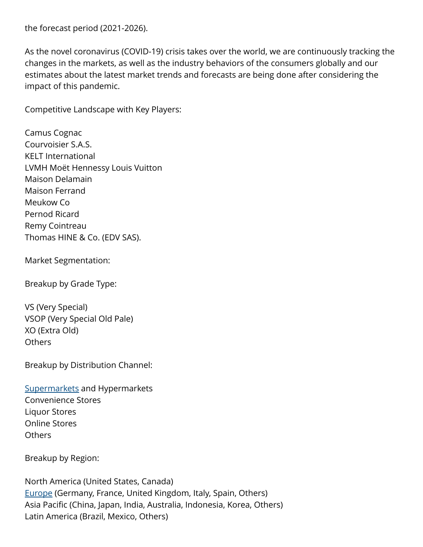the forecast period (2021-2026).

As the novel coronavirus (COVID-19) crisis takes over the world, we are continuously tracking the changes in the markets, as well as the industry behaviors of the consumers globally and our estimates about the latest market trends and forecasts are being done after considering the impact of this pandemic.

Competitive Landscape with Key Players:

Camus Cognac Courvoisier S.A.S. KELT International LVMH Moët Hennessy Louis Vuitton Maison Delamain Maison Ferrand Meukow Co Pernod Ricard Remy Cointreau Thomas HINE & Co. (EDV SAS).

Market Segmentation:

Breakup by Grade Type:

VS (Very Special) VSOP (Very Special Old Pale) XO (Extra Old) **Others** 

Breakup by Distribution Channel:

[Supermarkets](https://www.imarcgroup.com/fast-food-quick-service-restaurant-market) and Hypermarkets Convenience Stores Liquor Stores Online Stores Others

Breakup by Region:

North America (United States, Canada) [Europe](https://www.imarcgroup.com/europe-lobster-market) (Germany, France, United Kingdom, Italy, Spain, Others) Asia Pacific (China, Japan, India, Australia, Indonesia, Korea, Others) Latin America (Brazil, Mexico, Others)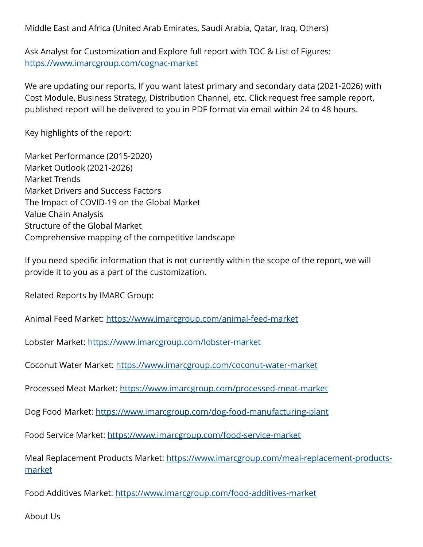Middle East and Africa (United Arab Emirates, Saudi Arabia, Qatar, Iraq, Others)

Ask Analyst for Customization and Explore full report with TOC & List of Figures: <https://www.imarcgroup.com/cognac-market>

We are updating our reports, If you want latest primary and secondary data (2021-2026) with Cost Module, Business Strategy, Distribution Channel, etc. Click request free sample report, published report will be delivered to you in PDF format via email within 24 to 48 hours.

Key highlights of the report:

Market Performance (2015-2020) Market Outlook (2021-2026) Market Trends Market Drivers and Success Factors The Impact of COVID-19 on the Global Market Value Chain Analysis Structure of the Global Market Comprehensive mapping of the competitive landscape

If you need specific information that is not currently within the scope of the report, we will provide it to you as a part of the customization.

Related Reports by IMARC Group:

Animal Feed Market: <https://www.imarcgroup.com/animal-feed-market>

Lobster Market:<https://www.imarcgroup.com/lobster-market>

Coconut Water Market:<https://www.imarcgroup.com/coconut-water-market>

Processed Meat Market:<https://www.imarcgroup.com/processed-meat-market>

Dog Food Market: <https://www.imarcgroup.com/dog-food-manufacturing-plant>

Food Service Market: <https://www.imarcgroup.com/food-service-market>

Meal Replacement Products Market: [https://www.imarcgroup.com/meal-replacement-products](https://www.imarcgroup.com/meal-replacement-products-market)[market](https://www.imarcgroup.com/meal-replacement-products-market)

Food Additives Market: <https://www.imarcgroup.com/food-additives-market>

About Us